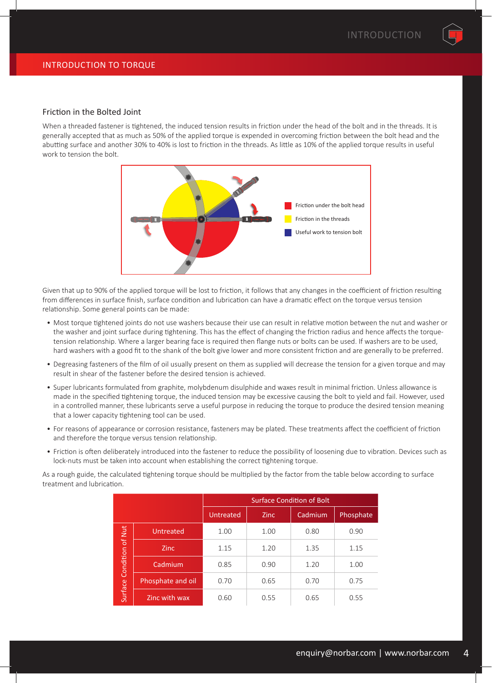# Friction in the Bolted Joint

When a threaded fastener is tightened, the induced tension results in friction under the head of the bolt and in the threads. It is generally accepted that as much as 50% of the applied torque is expended in overcoming friction between the bolt head and the abutting surface and another 30% to 40% is lost to friction in the threads. As little as 10% of the applied torque results in useful work to tension the bolt.



Given that up to 90% of the applied torque will be lost to friction, it follows that any changes in the coefficient of friction resulting from differences in surface finish, surface condition and lubrication can have a dramatic effect on the torque versus tension relationship. Some general points can be made:

- Most torque tightened joints do not use washers because their use can result in relative motion between the nut and washer or the washer and joint surface during tightening. This has the effect of changing the friction radius and hence affects the torquetension relationship. Where a larger bearing face is required then flange nuts or bolts can be used. If washers are to be used, hard washers with a good fit to the shank of the bolt give lower and more consistent friction and are generally to be preferred.
- Degreasing fasteners of the film of oil usually present on them as supplied will decrease the tension for a given torque and may result in shear of the fastener before the desired tension is achieved.
- Super lubricants formulated from graphite, molybdenum disulphide and waxes result in minimal friction. Unless allowance is made in the specified tightening torque, the induced tension may be excessive causing the bolt to yield and fail. However, used in a controlled manner, these lubricants serve a useful purpose in reducing the torque to produce the desired tension meaning that a lower capacity tightening tool can be used.
- For reasons of appearance or corrosion resistance, fasteners may be plated. These treatments affect the coefficient of friction and therefore the torque versus tension relationship.
- Friction is often deliberately introduced into the fastener to reduce the possibility of loosening due to vibration. Devices such as lock-nuts must be taken into account when establishing the correct tightening torque.

As a rough guide, the calculated tightening torque should be multiplied by the factor from the table below according to surface treatment and lubrication.

|                  |                   | <b>Surface Condition of Bolt</b> |             |         |           |  |
|------------------|-------------------|----------------------------------|-------------|---------|-----------|--|
|                  |                   | Untreated                        | <b>Zinc</b> | Cadmium | Phosphate |  |
|                  | Untreated         | 1.00                             | 1.00        | 0.80    | 0.90      |  |
| Condition of Nut | <b>Zinc</b>       | 1.15                             | 1.20        | 1.35    | 1.15      |  |
|                  | Cadmium           | 0.85                             | 0.90        | 1.20    | 1.00      |  |
|                  | Phosphate and oil | 0.70                             | 0.65        | 0.70    | 0.75      |  |
| Surface          | Zinc with wax     | 0.60                             | 0.55        | 0.65    | 0.55      |  |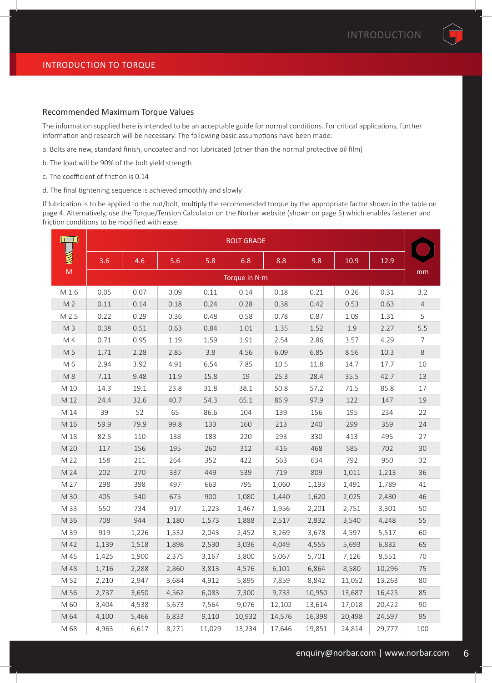#### Recommended Maximum Torque Values

The information supplied here is intended to be an acceptable guide for normal conditions. For critical applications, further information and research will be necessary. The following basic assumptions have been made:

- a. Bolts are new, standard finish, uncoated and not lubricated (other than the normal protective oil film)
- b. The load will be 90% of the bolt yield strength
- c. The coefficient of friction is 0.14
- d. The final tightening sequence is achieved smoothly and slowly

If lubrication is to be applied to the nut/bolt, multiply the recommended torque by the appropriate factor shown in the table on page 4. Alternatively, use the Torque/Tension Calculator on the Norbar website (shown on page 5) which enables fastener and friction conditions to be modified with ease.

|                | <b>BOLT GRADE</b> |               |       |        |        |        |        |        |        |                |
|----------------|-------------------|---------------|-------|--------|--------|--------|--------|--------|--------|----------------|
|                | 3.6               | 4.6           | 5.6   | 5.8    | 6.8    | 8.8    | 9.8    | 10.9   | 12.9   |                |
| M              |                   | Torque in N·m |       |        |        |        |        | mm     |        |                |
| M 1.6          | 0.05              | 0.07          | 0.09  | 0.11   | 0.14   | 0.18   | 0.21   | 0.26   | 0.31   | 3.2            |
| M <sub>2</sub> | 0.11              | 0.14          | 0.18  | 0.24   | 0.28   | 0.38   | 0.42   | 0.53   | 0.63   | $\overline{4}$ |
| M 2.5          | 0.22              | 0.29          | 0.36  | 0.48   | 0.58   | 0.78   | 0.87   | 1.09   | 1.31   | 5              |
| M <sub>3</sub> | 0.38              | 0.51          | 0.63  | 0.84   | 1.01   | 1.35   | 1.52   | 1.9    | 2.27   | 5.5            |
| M 4            | 0.71              | 0.95          | 1.19  | 1.59   | 1.91   | 2.54   | 2.86   | 3.57   | 4.29   | $\overline{7}$ |
| M 5            | 1.71              | 2.28          | 2.85  | 3.8    | 4.56   | 6.09   | 6.85   | 8.56   | 10.3   | 8              |
| M 6            | 2.94              | 3.92          | 4.91  | 6.54   | 7.85   | 10.5   | 11.8   | 14.7   | 17.7   | 10             |
| M 8            | 7.11              | 9.48          | 11.9  | 15.8   | 19     | 25.3   | 28.4   | 35.5   | 42.7   | 13             |
| M 10           | 14.3              | 19.1          | 23.8  | 31.8   | 38.1   | 50.8   | 57.2   | 71.5   | 85.8   | 17             |
| M 12           | 24.4              | 32.6          | 40.7  | 54.3   | 65.1   | 86.9   | 97.9   | 122    | 147    | 19             |
| M 14           | 39                | 52            | 65    | 86.6   | 104    | 139    | 156    | 195    | 234    | 22             |
| M 16           | 59.9              | 79.9          | 99.8  | 133    | 160    | 213    | 240    | 299    | 359    | 24             |
| M 18           | 82.5              | 110           | 138   | 183    | 220    | 293    | 330    | 413    | 495    | 27             |
| M 20           | 117               | 156           | 195   | 260    | 312    | 416    | 468    | 585    | 702    | 30             |
| M 22           | 158               | 211           | 264   | 352    | 422    | 563    | 634    | 792    | 950    | 32             |
| M 24           | 202               | 270           | 337   | 449    | 539    | 719    | 809    | 1,011  | 1,213  | 36             |
| M 27           | 298               | 398           | 497   | 663    | 795    | 1,060  | 1,193  | 1,491  | 1,789  | 41             |
| M 30           | 405               | 540           | 675   | 900    | 1,080  | 1,440  | 1,620  | 2,025  | 2,430  | 46             |
| M 33           | 550               | 734           | 917   | 1,223  | 1,467  | 1,956  | 2,201  | 2,751  | 3,301  | 50             |
| M 36           | 708               | 944           | 1,180 | 1,573  | 1,888  | 2,517  | 2,832  | 3,540  | 4,248  | 55             |
| M 39           | 919               | 1,226         | 1,532 | 2,043  | 2,452  | 3,269  | 3,678  | 4,597  | 5,517  | 60             |
| M 42           | 1,139             | 1,518         | 1,898 | 2,530  | 3,036  | 4,049  | 4,555  | 5,693  | 6,832  | 65             |
| M 45           | 1,425             | 1,900         | 2,375 | 3,167  | 3,800  | 5,067  | 5,701  | 7,126  | 8,551  | 70             |
| M 48           | 1,716             | 2,288         | 2,860 | 3,813  | 4,576  | 6,101  | 6,864  | 8,580  | 10,296 | 75             |
| M 52           | 2,210             | 2,947         | 3,684 | 4,912  | 5,895  | 7,859  | 8,842  | 11,052 | 13,263 | 80             |
| M 56           | 2,737             | 3,650         | 4,562 | 6,083  | 7,300  | 9,733  | 10,950 | 13,687 | 16,425 | 85             |
| M 60           | 3,404             | 4,538         | 5,673 | 7,564  | 9,076  | 12,102 | 13,614 | 17,018 | 20,422 | 90             |
| M 64           | 4,100             | 5,466         | 6,833 | 9,110  | 10,932 | 14,576 | 16,398 | 20,498 | 24,597 | 95             |
| M 68           | 4,963             | 6,617         | 8,271 | 11,029 | 13,234 | 17,646 | 19,851 | 24,814 | 29,777 | 100            |